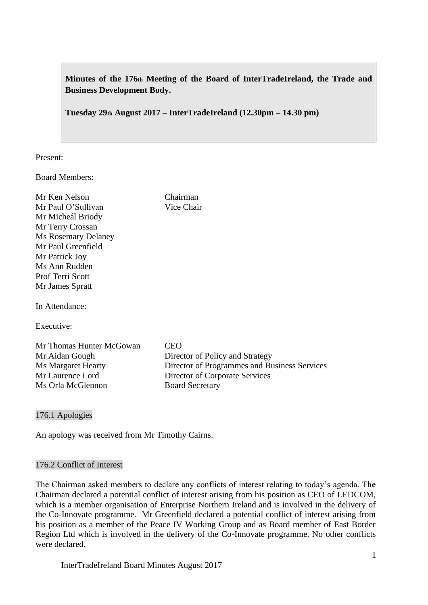**Minutes of the 176th Meeting of the Board of InterTradeIreland, the Trade and Business Development Body.**

**Tuesday 29th August 2017 – InterTradeIreland (12.30pm – 14.30 pm)**

Chairman Vice Chair

Present:

Board Members:

| Mr Ken Nelson              |
|----------------------------|
| Mr Paul O'Sullivan         |
| Mr Micheál Briody          |
| Mr Terry Crossan           |
| <b>Ms Rosemary Delaney</b> |
| Mr Paul Greenfield         |
| Mr Patrick Joy             |
| Ms Ann Rudden              |
| <b>Prof Terri Scott</b>    |
| Mr James Spratt            |
|                            |

In Attendance:

Executive:

Mr Thomas Hunter McGowan CEO Mr Aidan Gough Director of Policy and Strategy Ms Margaret Hearty Director of Programmes and Business Services<br>Mr Laurence Lord Director of Corporate Services Director of Corporate Services Ms Orla McGlennon Board Secretary

176.1 Apologies

An apology was received from Mr Timothy Cairns.

#### 176.2 Conflict of Interest

The Chairman asked members to declare any conflicts of interest relating to today's agenda. The Chairman declared a potential conflict of interest arising from his position as CEO of LEDCOM, which is a member organisation of Enterprise Northern Ireland and is involved in the delivery of the Co-Innovate programme. Mr Greenfield declared a potential conflict of interest arising from his position as a member of the Peace IV Working Group and as Board member of East Border Region Ltd which is involved in the delivery of the Co-Innovate programme. No other conflicts were declared.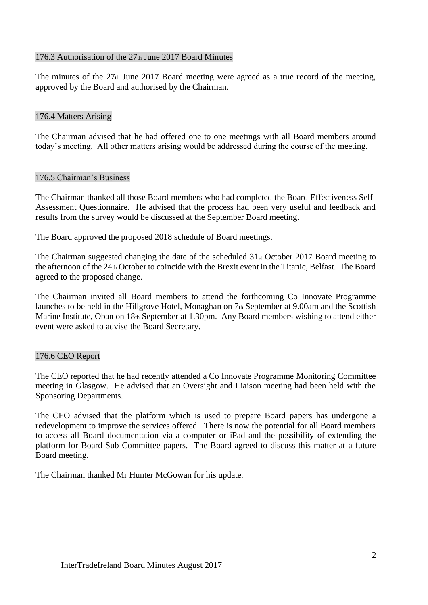## 176.3 Authorisation of the 27th June 2017 Board Minutes

The minutes of the  $27<sub>th</sub>$  June 2017 Board meeting were agreed as a true record of the meeting, approved by the Board and authorised by the Chairman.

## 176.4 Matters Arising

The Chairman advised that he had offered one to one meetings with all Board members around today's meeting. All other matters arising would be addressed during the course of the meeting.

## 176.5 Chairman's Business

The Chairman thanked all those Board members who had completed the Board Effectiveness Self-Assessment Questionnaire. He advised that the process had been very useful and feedback and results from the survey would be discussed at the September Board meeting.

The Board approved the proposed 2018 schedule of Board meetings.

The Chairman suggested changing the date of the scheduled 31st October 2017 Board meeting to the afternoon of the 24th October to coincide with the Brexit event in the Titanic, Belfast. The Board agreed to the proposed change.

The Chairman invited all Board members to attend the forthcoming Co Innovate Programme launches to be held in the Hillgrove Hotel, Monaghan on 7th September at 9.00am and the Scottish Marine Institute, Oban on 18th September at 1.30pm. Any Board members wishing to attend either event were asked to advise the Board Secretary.

## 176.6 CEO Report

The CEO reported that he had recently attended a Co Innovate Programme Monitoring Committee meeting in Glasgow. He advised that an Oversight and Liaison meeting had been held with the Sponsoring Departments.

The CEO advised that the platform which is used to prepare Board papers has undergone a redevelopment to improve the services offered. There is now the potential for all Board members to access all Board documentation via a computer or iPad and the possibility of extending the platform for Board Sub Committee papers. The Board agreed to discuss this matter at a future Board meeting.

The Chairman thanked Mr Hunter McGowan for his update.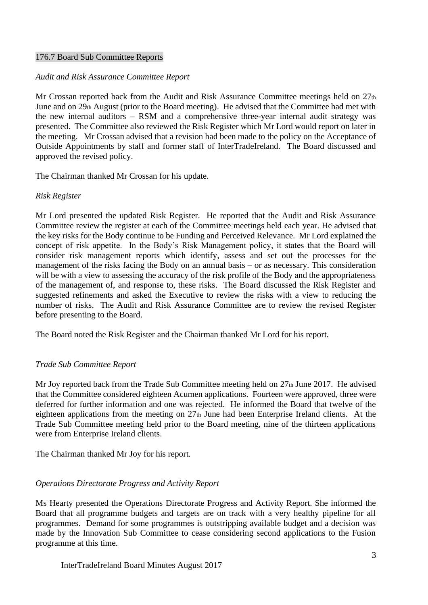#### 176.7 Board Sub Committee Reports

## *Audit and Risk Assurance Committee Report*

Mr Crossan reported back from the Audit and Risk Assurance Committee meetings held on 27th June and on 29th August (prior to the Board meeting). He advised that the Committee had met with the new internal auditors – RSM and a comprehensive three-year internal audit strategy was presented. The Committee also reviewed the Risk Register which Mr Lord would report on later in the meeting. Mr Crossan advised that a revision had been made to the policy on the Acceptance of Outside Appointments by staff and former staff of InterTradeIreland. The Board discussed and approved the revised policy.

The Chairman thanked Mr Crossan for his update.

## *Risk Register*

Mr Lord presented the updated Risk Register. He reported that the Audit and Risk Assurance Committee review the register at each of the Committee meetings held each year. He advised that the key risks for the Body continue to be Funding and Perceived Relevance. Mr Lord explained the concept of risk appetite. In the Body's Risk Management policy, it states that the Board will consider risk management reports which identify, assess and set out the processes for the management of the risks facing the Body on an annual basis – or as necessary. This consideration will be with a view to assessing the accuracy of the risk profile of the Body and the appropriateness of the management of, and response to, these risks. The Board discussed the Risk Register and suggested refinements and asked the Executive to review the risks with a view to reducing the number of risks. The Audit and Risk Assurance Committee are to review the revised Register before presenting to the Board.

The Board noted the Risk Register and the Chairman thanked Mr Lord for his report.

# *Trade Sub Committee Report*

Mr Joy reported back from the Trade Sub Committee meeting held on 27th June 2017. He advised that the Committee considered eighteen Acumen applications. Fourteen were approved, three were deferred for further information and one was rejected. He informed the Board that twelve of the eighteen applications from the meeting on  $27<sub>th</sub>$  June had been Enterprise Ireland clients. At the Trade Sub Committee meeting held prior to the Board meeting, nine of the thirteen applications were from Enterprise Ireland clients.

The Chairman thanked Mr Joy for his report.

# *Operations Directorate Progress and Activity Report*

Ms Hearty presented the Operations Directorate Progress and Activity Report. She informed the Board that all programme budgets and targets are on track with a very healthy pipeline for all programmes. Demand for some programmes is outstripping available budget and a decision was made by the Innovation Sub Committee to cease considering second applications to the Fusion programme at this time.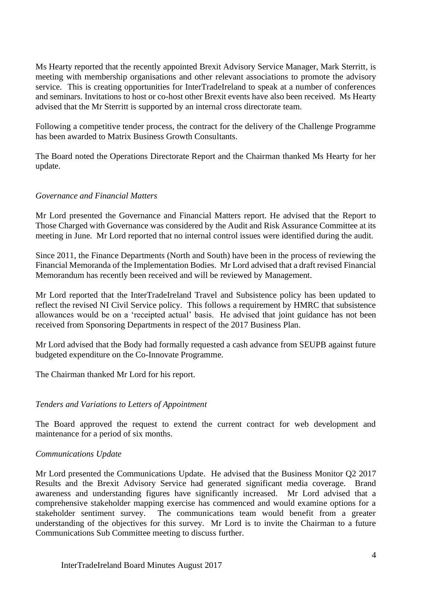Ms Hearty reported that the recently appointed Brexit Advisory Service Manager, Mark Sterritt, is meeting with membership organisations and other relevant associations to promote the advisory service. This is creating opportunities for InterTradeIreland to speak at a number of conferences and seminars. Invitations to host or co-host other Brexit events have also been received. Ms Hearty advised that the Mr Sterritt is supported by an internal cross directorate team.

Following a competitive tender process, the contract for the delivery of the Challenge Programme has been awarded to Matrix Business Growth Consultants.

The Board noted the Operations Directorate Report and the Chairman thanked Ms Hearty for her update.

## *Governance and Financial Matters*

Mr Lord presented the Governance and Financial Matters report. He advised that the Report to Those Charged with Governance was considered by the Audit and Risk Assurance Committee at its meeting in June. Mr Lord reported that no internal control issues were identified during the audit.

Since 2011, the Finance Departments (North and South) have been in the process of reviewing the Financial Memoranda of the Implementation Bodies. Mr Lord advised that a draft revised Financial Memorandum has recently been received and will be reviewed by Management.

Mr Lord reported that the InterTradeIreland Travel and Subsistence policy has been updated to reflect the revised NI Civil Service policy. This follows a requirement by HMRC that subsistence allowances would be on a 'receipted actual' basis. He advised that joint guidance has not been received from Sponsoring Departments in respect of the 2017 Business Plan.

Mr Lord advised that the Body had formally requested a cash advance from SEUPB against future budgeted expenditure on the Co-Innovate Programme.

The Chairman thanked Mr Lord for his report.

## *Tenders and Variations to Letters of Appointment*

The Board approved the request to extend the current contract for web development and maintenance for a period of six months.

## *Communications Update*

Mr Lord presented the Communications Update. He advised that the Business Monitor Q2 2017 Results and the Brexit Advisory Service had generated significant media coverage. Brand awareness and understanding figures have significantly increased. Mr Lord advised that a comprehensive stakeholder mapping exercise has commenced and would examine options for a stakeholder sentiment survey. The communications team would benefit from a greater understanding of the objectives for this survey. Mr Lord is to invite the Chairman to a future Communications Sub Committee meeting to discuss further.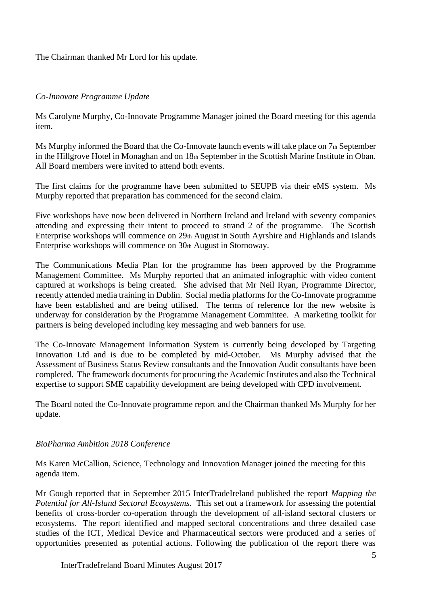The Chairman thanked Mr Lord for his update.

# *Co-Innovate Programme Update*

Ms Carolyne Murphy, Co-Innovate Programme Manager joined the Board meeting for this agenda item.

Ms Murphy informed the Board that the Co-Innovate launch events will take place on 7th September in the Hillgrove Hotel in Monaghan and on 18th September in the Scottish Marine Institute in Oban. All Board members were invited to attend both events.

The first claims for the programme have been submitted to SEUPB via their eMS system. Ms Murphy reported that preparation has commenced for the second claim.

Five workshops have now been delivered in Northern Ireland and Ireland with seventy companies attending and expressing their intent to proceed to strand 2 of the programme. The Scottish Enterprise workshops will commence on 29th August in South Ayrshire and Highlands and Islands Enterprise workshops will commence on 30th August in Stornoway.

The Communications Media Plan for the programme has been approved by the Programme Management Committee. Ms Murphy reported that an animated infographic with video content captured at workshops is being created. She advised that Mr Neil Ryan, Programme Director, recently attended media training in Dublin. Social media platforms for the Co-Innovate programme have been established and are being utilised. The terms of reference for the new website is underway for consideration by the Programme Management Committee. A marketing toolkit for partners is being developed including key messaging and web banners for use.

The Co-Innovate Management Information System is currently being developed by Targeting Innovation Ltd and is due to be completed by mid-October. Ms Murphy advised that the Assessment of Business Status Review consultants and the Innovation Audit consultants have been completed. The framework documents for procuring the Academic Institutes and also the Technical expertise to support SME capability development are being developed with CPD involvement.

The Board noted the Co-Innovate programme report and the Chairman thanked Ms Murphy for her update.

# *BioPharma Ambition 2018 Conference*

Ms Karen McCallion, Science, Technology and Innovation Manager joined the meeting for this agenda item.

Mr Gough reported that in September 2015 InterTradeIreland published the report *Mapping the Potential for All-Island Sectoral Ecosystems.* This set out a framework for assessing the potential benefits of cross-border co-operation through the development of all-island sectoral clusters or ecosystems. The report identified and mapped sectoral concentrations and three detailed case studies of the ICT, Medical Device and Pharmaceutical sectors were produced and a series of opportunities presented as potential actions. Following the publication of the report there was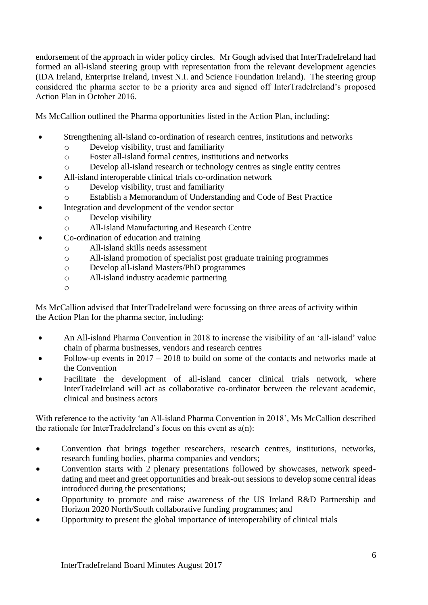endorsement of the approach in wider policy circles. Mr Gough advised that InterTradeIreland had formed an all-island steering group with representation from the relevant development agencies (IDA Ireland, Enterprise Ireland, Invest N.I. and Science Foundation Ireland). The steering group considered the pharma sector to be a priority area and signed off InterTradeIreland's proposed Action Plan in October 2016.

Ms McCallion outlined the Pharma opportunities listed in the Action Plan, including:

- Strengthening all-island co-ordination of research centres, institutions and networks
	- o Develop visibility, trust and familiarity
	- o Foster all-island formal centres, institutions and networks
	- o Develop all-island research or technology centres as single entity centres
- All-island interoperable clinical trials co-ordination network
	- o Develop visibility, trust and familiarity
	- o Establish a Memorandum of Understanding and Code of Best Practice
- Integration and development of the vendor sector
	- o Develop visibility
	- o All-Island Manufacturing and Research Centre
- Co-ordination of education and training
	- o All-island skills needs assessment
	- o All-island promotion of specialist post graduate training programmes
	- o Develop all-island Masters/PhD programmes
	- o All-island industry academic partnering
	- o

Ms McCallion advised that InterTradeIreland were focussing on three areas of activity within the Action Plan for the pharma sector, including:

- An All-island Pharma Convention in 2018 to increase the visibility of an 'all-island' value chain of pharma businesses, vendors and research centres
- Follow-up events in  $2017 2018$  to build on some of the contacts and networks made at the Convention
- Facilitate the development of all-island cancer clinical trials network, where InterTradeIreland will act as collaborative co-ordinator between the relevant academic, clinical and business actors

With reference to the activity 'an All-island Pharma Convention in 2018', Ms McCallion described the rationale for InterTradeIreland's focus on this event as a(n):

- Convention that brings together researchers, research centres, institutions, networks, research funding bodies, pharma companies and vendors;
- Convention starts with 2 plenary presentations followed by showcases, network speeddating and meet and greet opportunities and break-out sessions to develop some central ideas introduced during the presentations;
- Opportunity to promote and raise awareness of the US Ireland R&D Partnership and Horizon 2020 North/South collaborative funding programmes; and
- Opportunity to present the global importance of interoperability of clinical trials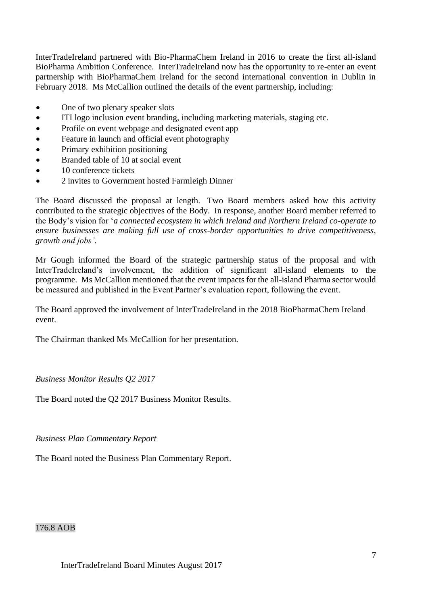InterTradeIreland partnered with Bio-PharmaChem Ireland in 2016 to create the first all-island BioPharma Ambition Conference. InterTradeIreland now has the opportunity to re-enter an event partnership with BioPharmaChem Ireland for the second international convention in Dublin in February 2018. Ms McCallion outlined the details of the event partnership, including:

- One of two plenary speaker slots
- ITI logo inclusion event branding, including marketing materials, staging etc.
- Profile on event webpage and designated event app
- Feature in launch and official event photography
- Primary exhibition positioning
- Branded table of 10 at social event
- 10 conference tickets
- 2 invites to Government hosted Farmleigh Dinner

The Board discussed the proposal at length. Two Board members asked how this activity contributed to the strategic objectives of the Body. In response, another Board member referred to the Body's vision for '*a connected ecosystem in which Ireland and Northern Ireland co-operate to ensure businesses are making full use of cross-border opportunities to drive competitiveness, growth and jobs'*.

Mr Gough informed the Board of the strategic partnership status of the proposal and with InterTradeIreland's involvement, the addition of significant all-island elements to the programme. Ms McCallion mentioned that the event impacts for the all-island Pharma sector would be measured and published in the Event Partner's evaluation report, following the event.

The Board approved the involvement of InterTradeIreland in the 2018 BioPharmaChem Ireland event.

The Chairman thanked Ms McCallion for her presentation.

*Business Monitor Results Q2 2017*

The Board noted the Q2 2017 Business Monitor Results.

*Business Plan Commentary Report*

The Board noted the Business Plan Commentary Report.

176.8 AOB